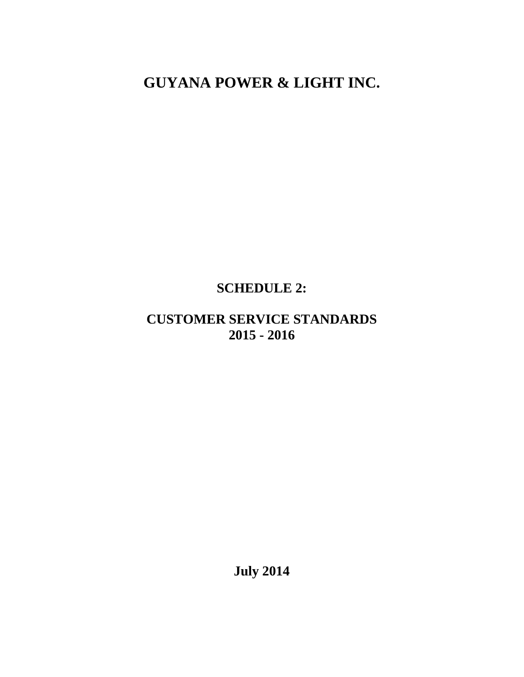**GUYANA POWER & LIGHT INC.** 

# **SCHEDULE 2:**

## **CUSTOMER SERVICE STANDARDS 2015 - 2016**

**July 2014**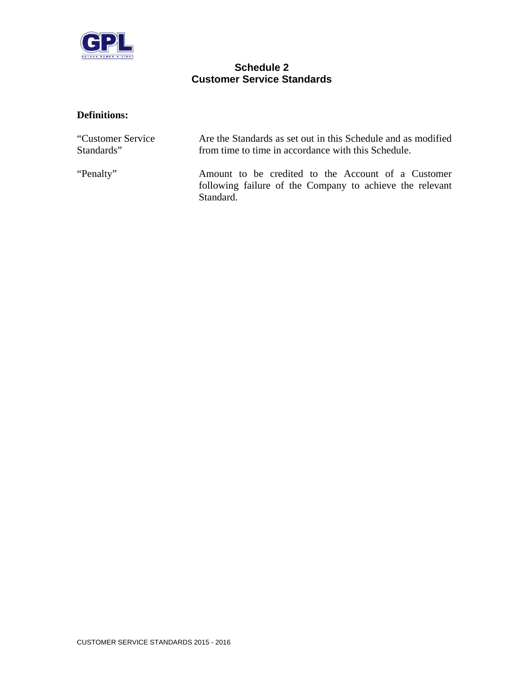

#### **Schedule 2 Customer Service Standards**

#### **Definitions:**

| "Customer Service" | Are the Standards as set out in this Schedule and as modified                                                               |  |  |  |  |
|--------------------|-----------------------------------------------------------------------------------------------------------------------------|--|--|--|--|
| Standards"         | from time to time in accordance with this Schedule.                                                                         |  |  |  |  |
| "Penalty"          | Amount to be credited to the Account of a Customer<br>following failure of the Company to achieve the relevant<br>Standard. |  |  |  |  |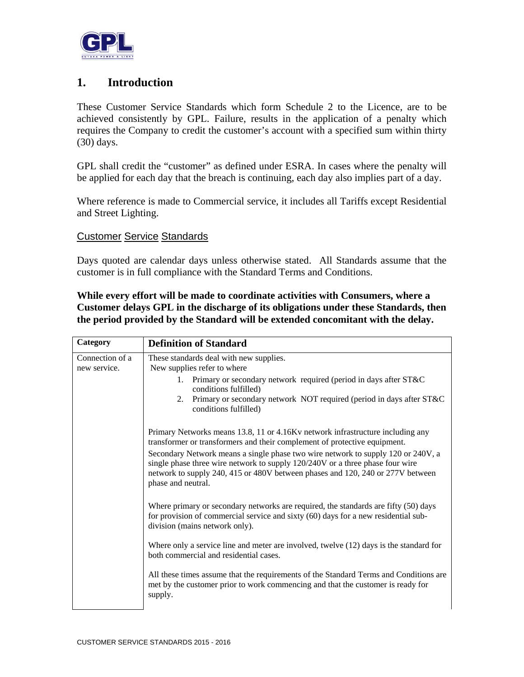

### **1. Introduction**

These Customer Service Standards which form Schedule 2 to the Licence, are to be achieved consistently by GPL. Failure, results in the application of a penalty which requires the Company to credit the customer's account with a specified sum within thirty (30) days.

GPL shall credit the "customer" as defined under ESRA. In cases where the penalty will be applied for each day that the breach is continuing, each day also implies part of a day.

Where reference is made to Commercial service, it includes all Tariffs except Residential and Street Lighting.

#### Customer Service Standards

Days quoted are calendar days unless otherwise stated. All Standards assume that the customer is in full compliance with the Standard Terms and Conditions.

**While every effort will be made to coordinate activities with Consumers, where a Customer delays GPL in the discharge of its obligations under these Standards, then the period provided by the Standard will be extended concomitant with the delay.** 

| Category                        | <b>Definition of Standard</b>                                                                                                                                                                                                                                             |  |  |  |  |
|---------------------------------|---------------------------------------------------------------------------------------------------------------------------------------------------------------------------------------------------------------------------------------------------------------------------|--|--|--|--|
| Connection of a<br>new service. | These standards deal with new supplies.<br>New supplies refer to where                                                                                                                                                                                                    |  |  |  |  |
|                                 | 1. Primary or secondary network required (period in days after ST&C<br>conditions fulfilled)                                                                                                                                                                              |  |  |  |  |
|                                 | Primary or secondary network NOT required (period in days after ST&C<br>2.<br>conditions fulfilled)                                                                                                                                                                       |  |  |  |  |
|                                 | Primary Networks means 13.8, 11 or 4.16Kv network infrastructure including any<br>transformer or transformers and their complement of protective equipment.                                                                                                               |  |  |  |  |
|                                 | Secondary Network means a single phase two wire network to supply 120 or 240V, a<br>single phase three wire network to supply 120/240V or a three phase four wire<br>network to supply 240, 415 or 480V between phases and 120, 240 or 277V between<br>phase and neutral. |  |  |  |  |
|                                 | Where primary or secondary networks are required, the standards are fifty (50) days<br>for provision of commercial service and sixty (60) days for a new residential sub-<br>division (mains network only).                                                               |  |  |  |  |
|                                 | Where only a service line and meter are involved, twelve $(12)$ days is the standard for<br>both commercial and residential cases.                                                                                                                                        |  |  |  |  |
|                                 | All these times assume that the requirements of the Standard Terms and Conditions are<br>met by the customer prior to work commencing and that the customer is ready for<br>supply.                                                                                       |  |  |  |  |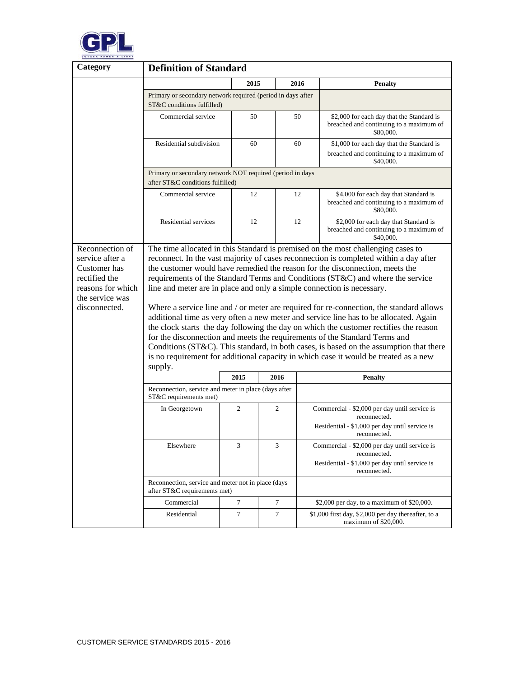

| Category                                                                                                                     | <b>Definition of Standard</b>                                                                                                                                                                                                                                                                                                                                                                                                                                                                                                                                                                                                                                                                                                                                                                                                                                                                                                                                                 |      |   |      |                                                                                                                 |  |
|------------------------------------------------------------------------------------------------------------------------------|-------------------------------------------------------------------------------------------------------------------------------------------------------------------------------------------------------------------------------------------------------------------------------------------------------------------------------------------------------------------------------------------------------------------------------------------------------------------------------------------------------------------------------------------------------------------------------------------------------------------------------------------------------------------------------------------------------------------------------------------------------------------------------------------------------------------------------------------------------------------------------------------------------------------------------------------------------------------------------|------|---|------|-----------------------------------------------------------------------------------------------------------------|--|
|                                                                                                                              |                                                                                                                                                                                                                                                                                                                                                                                                                                                                                                                                                                                                                                                                                                                                                                                                                                                                                                                                                                               | 2015 |   | 2016 | <b>Penalty</b>                                                                                                  |  |
|                                                                                                                              | Primary or secondary network required (period in days after<br>ST&C conditions fulfilled)                                                                                                                                                                                                                                                                                                                                                                                                                                                                                                                                                                                                                                                                                                                                                                                                                                                                                     |      |   |      |                                                                                                                 |  |
|                                                                                                                              | Commercial service                                                                                                                                                                                                                                                                                                                                                                                                                                                                                                                                                                                                                                                                                                                                                                                                                                                                                                                                                            | 50   |   | 50   | \$2,000 for each day that the Standard is<br>breached and continuing to a maximum of<br>\$80,000.               |  |
|                                                                                                                              | Residential subdivision                                                                                                                                                                                                                                                                                                                                                                                                                                                                                                                                                                                                                                                                                                                                                                                                                                                                                                                                                       | 60   |   | 60   | \$1,000 for each day that the Standard is<br>breached and continuing to a maximum of<br>\$40,000.               |  |
|                                                                                                                              | Primary or secondary network NOT required (period in days<br>after ST&C conditions fulfilled)                                                                                                                                                                                                                                                                                                                                                                                                                                                                                                                                                                                                                                                                                                                                                                                                                                                                                 |      |   |      |                                                                                                                 |  |
|                                                                                                                              | Commercial service                                                                                                                                                                                                                                                                                                                                                                                                                                                                                                                                                                                                                                                                                                                                                                                                                                                                                                                                                            | 12   |   | 12   | \$4,000 for each day that Standard is<br>breached and continuing to a maximum of<br>\$80,000.                   |  |
|                                                                                                                              | Residential services                                                                                                                                                                                                                                                                                                                                                                                                                                                                                                                                                                                                                                                                                                                                                                                                                                                                                                                                                          | 12   |   | 12   | \$2,000 for each day that Standard is<br>breached and continuing to a maximum of<br>\$40,000.                   |  |
| Reconnection of<br>service after a<br>Customer has<br>rectified the<br>reasons for which<br>the service was<br>disconnected. | The time allocated in this Standard is premised on the most challenging cases to<br>reconnect. In the vast majority of cases reconnection is completed within a day after<br>the customer would have remedied the reason for the disconnection, meets the<br>requirements of the Standard Terms and Conditions (ST&C) and where the service<br>line and meter are in place and only a simple connection is necessary.<br>Where a service line and / or meter are required for re-connection, the standard allows<br>additional time as very often a new meter and service line has to be allocated. Again<br>the clock starts the day following the day on which the customer rectifies the reason<br>for the disconnection and meets the requirements of the Standard Terms and<br>Conditions (ST&C). This standard, in both cases, is based on the assumption that there<br>is no requirement for additional capacity in which case it would be treated as a new<br>supply. |      |   |      |                                                                                                                 |  |
| 2015<br>2016                                                                                                                 |                                                                                                                                                                                                                                                                                                                                                                                                                                                                                                                                                                                                                                                                                                                                                                                                                                                                                                                                                                               |      |   |      | <b>Penalty</b>                                                                                                  |  |
|                                                                                                                              | Reconnection, service and meter in place (days after<br>ST&C requirements met)                                                                                                                                                                                                                                                                                                                                                                                                                                                                                                                                                                                                                                                                                                                                                                                                                                                                                                |      |   |      |                                                                                                                 |  |
|                                                                                                                              | In Georgetown                                                                                                                                                                                                                                                                                                                                                                                                                                                                                                                                                                                                                                                                                                                                                                                                                                                                                                                                                                 | 2    | 2 |      | Commercial - \$2,000 per day until service is<br>reconnected.<br>Residential - \$1,000 per day until service is |  |
|                                                                                                                              | Elsewhere                                                                                                                                                                                                                                                                                                                                                                                                                                                                                                                                                                                                                                                                                                                                                                                                                                                                                                                                                                     | 3    | 3 |      | reconnected.<br>Commercial - \$2,000 per day until service is                                                   |  |
|                                                                                                                              |                                                                                                                                                                                                                                                                                                                                                                                                                                                                                                                                                                                                                                                                                                                                                                                                                                                                                                                                                                               |      |   |      | reconnected.<br>Residential - \$1,000 per day until service is<br>reconnected.                                  |  |
|                                                                                                                              | Reconnection, service and meter not in place (days)<br>after ST&C requirements met)                                                                                                                                                                                                                                                                                                                                                                                                                                                                                                                                                                                                                                                                                                                                                                                                                                                                                           |      |   |      |                                                                                                                 |  |
|                                                                                                                              | Commercial                                                                                                                                                                                                                                                                                                                                                                                                                                                                                                                                                                                                                                                                                                                                                                                                                                                                                                                                                                    | 7    | 7 |      | \$2,000 per day, to a maximum of \$20,000.                                                                      |  |
|                                                                                                                              | Residential                                                                                                                                                                                                                                                                                                                                                                                                                                                                                                                                                                                                                                                                                                                                                                                                                                                                                                                                                                   | 7    | 7 |      | \$1,000 first day, \$2,000 per day thereafter, to a<br>maximum of \$20,000.                                     |  |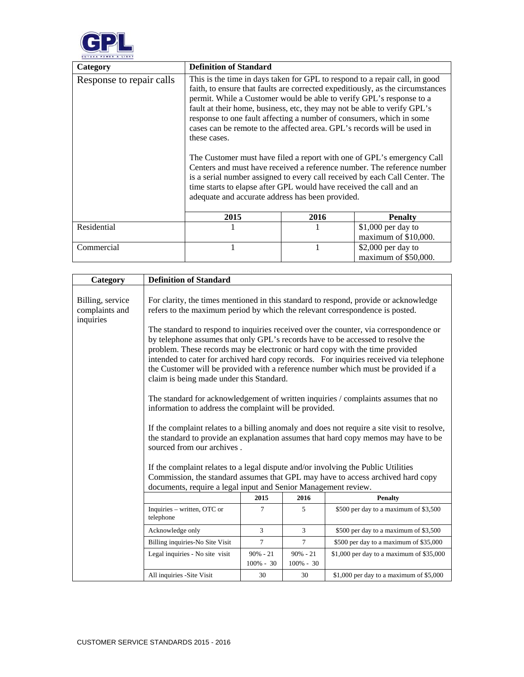

| Category                 | <b>Definition of Standard</b>                                                                                                                                                                                                                                                                                                                                                                                                                                                                                                 |      |                                                                                                                                                                                                                                                                                                                    |
|--------------------------|-------------------------------------------------------------------------------------------------------------------------------------------------------------------------------------------------------------------------------------------------------------------------------------------------------------------------------------------------------------------------------------------------------------------------------------------------------------------------------------------------------------------------------|------|--------------------------------------------------------------------------------------------------------------------------------------------------------------------------------------------------------------------------------------------------------------------------------------------------------------------|
| Response to repair calls | This is the time in days taken for GPL to respond to a repair call, in good<br>permit. While a Customer would be able to verify GPL's response to a<br>fault at their home, business, etc, they may not be able to verify GPL's<br>response to one fault affecting a number of consumers, which in some<br>cases can be remote to the affected area. GPL's records will be used in<br>these cases.<br>time starts to elapse after GPL would have received the call and an<br>adequate and accurate address has been provided. |      | faith, to ensure that faults are corrected expeditiously, as the circumstances<br>The Customer must have filed a report with one of GPL's emergency Call<br>Centers and must have received a reference number. The reference number<br>is a serial number assigned to every call received by each Call Center. The |
|                          | 2015                                                                                                                                                                                                                                                                                                                                                                                                                                                                                                                          | 2016 | <b>Penalty</b>                                                                                                                                                                                                                                                                                                     |
| Residential              |                                                                                                                                                                                                                                                                                                                                                                                                                                                                                                                               |      | $$1,000$ per day to<br>maximum of \$10,000.                                                                                                                                                                                                                                                                        |
| Commercial               | 1                                                                                                                                                                                                                                                                                                                                                                                                                                                                                                                             | 1    | $$2,000$ per day to<br>maximum of \$50,000.                                                                                                                                                                                                                                                                        |

| Category                                        | <b>Definition of Standard</b>                                                                                                                                                                                                                                                                                                                                                                                                                                                       |                             |                             |                                            |  |  |
|-------------------------------------------------|-------------------------------------------------------------------------------------------------------------------------------------------------------------------------------------------------------------------------------------------------------------------------------------------------------------------------------------------------------------------------------------------------------------------------------------------------------------------------------------|-----------------------------|-----------------------------|--------------------------------------------|--|--|
| Billing, service<br>complaints and<br>inquiries | For clarity, the times mentioned in this standard to respond, provide or acknowledge<br>refers to the maximum period by which the relevant correspondence is posted.                                                                                                                                                                                                                                                                                                                |                             |                             |                                            |  |  |
|                                                 | The standard to respond to inquiries received over the counter, via correspondence or<br>by telephone assumes that only GPL's records have to be accessed to resolve the<br>problem. These records may be electronic or hard copy with the time provided<br>intended to cater for archived hard copy records. For inquiries received via telephone<br>the Customer will be provided with a reference number which must be provided if a<br>claim is being made under this Standard. |                             |                             |                                            |  |  |
|                                                 | The standard for acknowledgement of written inquiries / complaints assumes that no<br>information to address the complaint will be provided.                                                                                                                                                                                                                                                                                                                                        |                             |                             |                                            |  |  |
|                                                 | If the complaint relates to a billing anomaly and does not require a site visit to resolve,<br>the standard to provide an explanation assumes that hard copy memos may have to be<br>sourced from our archives.                                                                                                                                                                                                                                                                     |                             |                             |                                            |  |  |
|                                                 | If the complaint relates to a legal dispute and/or involving the Public Utilities<br>Commission, the standard assumes that GPL may have to access archived hard copy<br>documents, require a legal input and Senior Management review.                                                                                                                                                                                                                                              |                             |                             |                                            |  |  |
|                                                 | 2015<br>2016<br><b>Penalty</b>                                                                                                                                                                                                                                                                                                                                                                                                                                                      |                             |                             |                                            |  |  |
|                                                 | Inquiries – written, OTC or<br>telephone                                                                                                                                                                                                                                                                                                                                                                                                                                            | 7                           | 5                           | \$500 per day to a maximum of \$3,500      |  |  |
|                                                 | Acknowledge only                                                                                                                                                                                                                                                                                                                                                                                                                                                                    | 3                           | 3                           | \$500 per day to a maximum of \$3,500      |  |  |
|                                                 | Billing inquiries-No Site Visit                                                                                                                                                                                                                                                                                                                                                                                                                                                     | 7                           | $\tau$                      | \$500 per day to a maximum of \$35,000     |  |  |
|                                                 | Legal inquiries - No site visit                                                                                                                                                                                                                                                                                                                                                                                                                                                     | $90\% - 21$<br>$100\% - 30$ | $90\% - 21$<br>$100\% - 30$ | $$1,000$ per day to a maximum of $$35,000$ |  |  |
|                                                 | All inquiries -Site Visit                                                                                                                                                                                                                                                                                                                                                                                                                                                           | 30                          | 30                          | \$1,000 per day to a maximum of $$5,000$   |  |  |